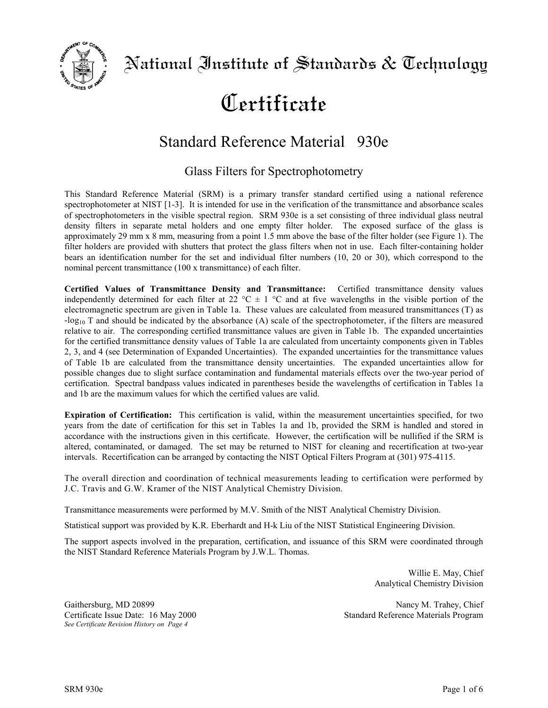

# Certificate

## Standard Reference Material<sup>®</sup> 930e

### Glass Filters for Spectrophotometry

This Standard Reference Material (SRM) is a primary transfer standard certified using a national reference spectrophotometer at NIST [1-3]. It is intended for use in the verification of the transmittance and absorbance scales of spectrophotometers in the visible spectral region. SRM 930e is a set consisting of three individual glass neutral density filters in separate metal holders and one empty filter holder. The exposed surface of the glass is approximately 29 mm x 8 mm, measuring from a point 1.5 mm above the base of the filter holder (see Figure 1). The filter holders are provided with shutters that protect the glass filters when not in use. Each filter-containing holder bears an identification number for the set and individual filter numbers (10, 20 or 30), which correspond to the nominal percent transmittance (100 x transmittance) of each filter.

**Certified Values of Transmittance Density and Transmittance:** Certified transmittance density values independently determined for each filter at 22  $^{\circ}$ C  $\pm$  1  $^{\circ}$ C and at five wavelengths in the visible portion of the electromagnetic spectrum are given in Table 1a. These values are calculated from measured transmittances (T) as  $-log_{10}T$  and should be indicated by the absorbance (A) scale of the spectrophotometer, if the filters are measured relative to air. The corresponding certified transmittance values are given in Table 1b. The expanded uncertainties for the certified transmittance density values of Table 1a are calculated from uncertainty components given in Tables 2, 3, and 4 (see Determination of Expanded Uncertainties). The expanded uncertainties for the transmittance values of Table 1b are calculated from the transmittance density uncertainties. The expanded uncertainties allow for possible changes due to slight surface contamination and fundamental materials effects over the two-year period of certification. Spectral bandpass values indicated in parentheses beside the wavelengths of certification in Tables 1a and 1b are the maximum values for which the certified values are valid.

**Expiration of Certification:** This certification is valid, within the measurement uncertainties specified, for two years from the date of certification for this set in Tables 1a and 1b, provided the SRM is handled and stored in accordance with the instructions given in this certificate. However, the certification will be nullified if the SRM is altered, contaminated, or damaged. The set may be returned to NIST for cleaning and recertification at two-year intervals. Recertification can be arranged by contacting the NIST Optical Filters Program at (301) 975-4115.

The overall direction and coordination of technical measurements leading to certification were performed by J.C. Travis and G.W. Kramer of the NIST Analytical Chemistry Division.

Transmittance measurements were performed by M.V. Smith of the NIST Analytical Chemistry Division.

Statistical support was provided by K.R. Eberhardt and H-k Liu of the NIST Statistical Engineering Division.

The support aspects involved in the preparation, certification, and issuance of this SRM were coordinated through the NIST Standard Reference Materials Program by J.W.L. Thomas.

> Willie E. May, Chief Analytical Chemistry Division

*See Certificate Revision History on Page 4* 

Gaithersburg, MD 20899 Nancy M. Trahey, Chief Certificate Issue Date: 16 May 2000 Standard Reference Materials Program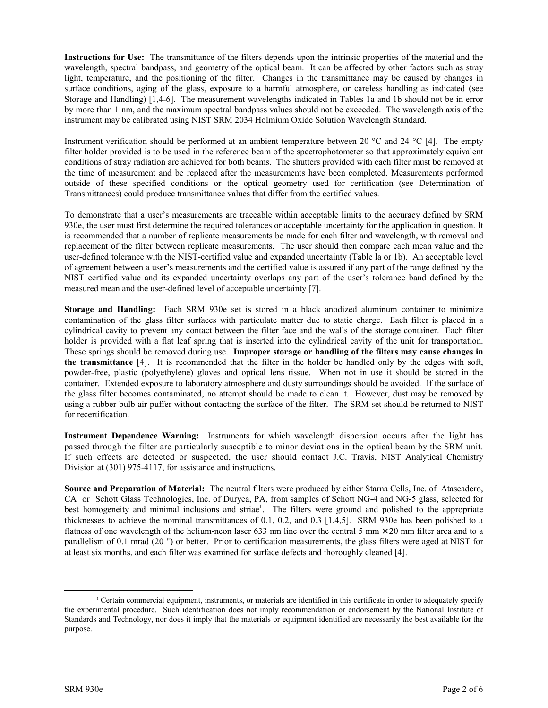**Instructions for Use:** The transmittance of the filters depends upon the intrinsic properties of the material and the wavelength, spectral bandpass, and geometry of the optical beam. It can be affected by other factors such as stray light, temperature, and the positioning of the filter. Changes in the transmittance may be caused by changes in surface conditions, aging of the glass, exposure to a harmful atmosphere, or careless handling as indicated (see Storage and Handling) [1,4-6]. The measurement wavelengths indicated in Tables 1a and 1b should not be in error by more than 1 nm, and the maximum spectral bandpass values should not be exceeded. The wavelength axis of the instrument may be calibrated using NIST SRM 2034 Holmium Oxide Solution Wavelength Standard.

Instrument verification should be performed at an ambient temperature between 20 °C and 24 °C [4]. The empty filter holder provided is to be used in the reference beam of the spectrophotometer so that approximately equivalent conditions of stray radiation are achieved for both beams. The shutters provided with each filter must be removed at the time of measurement and be replaced after the measurements have been completed. Measurements performed outside of these specified conditions or the optical geometry used for certification (see Determination of Transmittances) could produce transmittance values that differ from the certified values.

To demonstrate that a user's measurements are traceable within acceptable limits to the accuracy defined by SRM 930e, the user must first determine the required tolerances or acceptable uncertainty for the application in question. It is recommended that a number of replicate measurements be made for each filter and wavelength, with removal and replacement of the filter between replicate measurements. The user should then compare each mean value and the user-defined tolerance with the NIST-certified value and expanded uncertainty (Table la or 1b). An acceptable level of agreement between a user's measurements and the certified value is assured if any part of the range defined by the NIST certified value and its expanded uncertainty overlaps any part of the user's tolerance band defined by the measured mean and the user-defined level of acceptable uncertainty [7].

**Storage and Handling:** Each SRM 930e set is stored in a black anodized aluminum container to minimize contamination of the glass filter surfaces with particulate matter due to static charge. Each filter is placed in a cylindrical cavity to prevent any contact between the filter face and the walls of the storage container. Each filter holder is provided with a flat leaf spring that is inserted into the cylindrical cavity of the unit for transportation. These springs should be removed during use. **Improper storage or handling of the filters may cause changes in the transmittance** [4]. It is recommended that the filter in the holder be handled only by the edges with soft, powder-free, plastic (polyethylene) gloves and optical lens tissue. When not in use it should be stored in the container. Extended exposure to laboratory atmosphere and dusty surroundings should be avoided. If the surface of the glass filter becomes contaminated, no attempt should be made to clean it. However, dust may be removed by using a rubber-bulb air puffer without contacting the surface of the filter. The SRM set should be returned to NIST for recertification.

**Instrument Dependence Warning:** Instruments for which wavelength dispersion occurs after the light has passed through the filter are particularly susceptible to minor deviations in the optical beam by the SRM unit. If such effects are detected or suspected, the user should contact J.C. Travis, NIST Analytical Chemistry Division at (301) 975-4117, for assistance and instructions.

**Source and Preparation of Material:** The neutral filters were produced by either Starna Cells, Inc. of Atascadero, CA or Schott Glass Technologies, Inc. of Duryea, PA, from samples of Schott NG-4 and NG-5 glass, selected for best homogeneity and minimal inclusions and striae<sup>1</sup>. The filters were ground and polished to the appropriate thicknesses to achieve the nominal transmittances of 0.1, 0.2, and 0.3 [1,4,5]. SRM 930e has been polished to a flatness of one wavelength of the helium-neon laser 633 nm line over the central 5 mm  $\times$  20 mm filter area and to a parallelism of 0.1 mrad (20 ") or better. Prior to certification measurements, the glass filters were aged at NIST for at least six months, and each filter was examined for surface defects and thoroughly cleaned [4].

<sup>&</sup>lt;sup>1</sup> Certain commercial equipment, instruments, or materials are identified in this certificate in order to adequately specify the experimental procedure. Such identification does not imply recommendation or endorsement by the National Institute of Standards and Technology, nor does it imply that the materials or equipment identified are necessarily the best available for the purpose.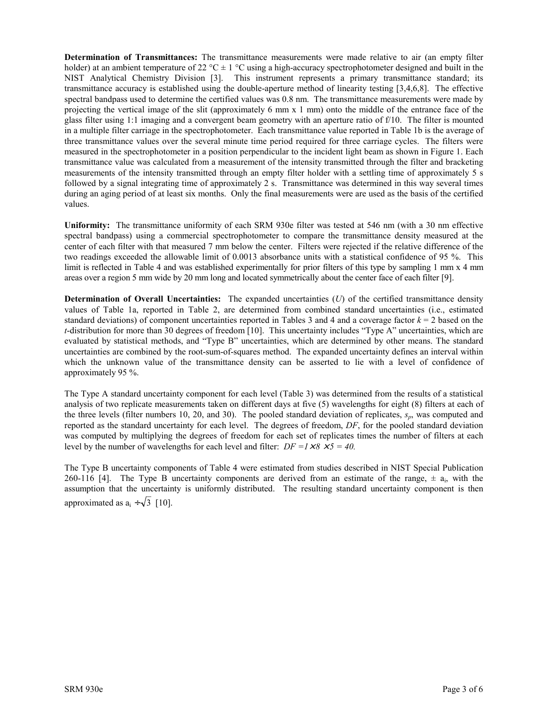**Determination of Transmittances:** The transmittance measurements were made relative to air (an empty filter holder) at an ambient temperature of 22 °C  $\pm$  1 °C using a high-accuracy spectrophotometer designed and built in the NIST Analytical Chemistry Division [3]. This instrument represents a primary transmittance standard; its transmittance accuracy is established using the double-aperture method of linearity testing [3,4,6,8]. The effective spectral bandpass used to determine the certified values was 0.8 nm. The transmittance measurements were made by projecting the vertical image of the slit (approximately 6 mm x 1 mm) onto the middle of the entrance face of the glass filter using 1:1 imaging and a convergent beam geometry with an aperture ratio of f/10. The filter is mounted in a multiple filter carriage in the spectrophotometer. Each transmittance value reported in Table 1b is the average of three transmittance values over the several minute time period required for three carriage cycles. The filters were measured in the spectrophotometer in a position perpendicular to the incident light beam as shown in Figure 1. Each transmittance value was calculated from a measurement of the intensity transmitted through the filter and bracketing measurements of the intensity transmitted through an empty filter holder with a settling time of approximately 5 s followed by a signal integrating time of approximately 2 s. Transmittance was determined in this way several times during an aging period of at least six months. Only the final measurements were are used as the basis of the certified values.

**Uniformity:** The transmittance uniformity of each SRM 930e filter was tested at 546 nm (with a 30 nm effective spectral bandpass) using a commercial spectrophotometer to compare the transmittance density measured at the center of each filter with that measured 7 mm below the center. Filters were rejected if the relative difference of the two readings exceeded the allowable limit of 0.0013 absorbance units with a statistical confidence of 95 %. This limit is reflected in Table 4 and was established experimentally for prior filters of this type by sampling 1 mm x 4 mm areas over a region 5 mm wide by 20 mm long and located symmetrically about the center face of each filter [9].

**Determination of Overall Uncertainties:** The expanded uncertainties (*U*) of the certified transmittance density values of Table 1a, reported in Table 2, are determined from combined standard uncertainties (i.e., estimated standard deviations) of component uncertainties reported in Tables 3 and 4 and a coverage factor  $k = 2$  based on the  $t$ -distribution for more than 30 degrees of freedom [10]. This uncertainty includes "Type A" uncertainties, which are evaluated by statistical methods, and "Type B" uncertainties, which are determined by other means. The standard uncertainties are combined by the root-sum-of-squares method. The expanded uncertainty defines an interval within which the unknown value of the transmittance density can be asserted to lie with a level of confidence of approximately 95 %.

The Type A standard uncertainty component for each level (Table 3) was determined from the results of a statistical analysis of two replicate measurements taken on different days at five (5) wavelengths for eight (8) filters at each of the three levels (filter numbers 10, 20, and 30). The pooled standard deviation of replicates, *sp*, was computed and reported as the standard uncertainty for each level. The degrees of freedom, *DF*, for the pooled standard deviation was computed by multiplying the degrees of freedom for each set of replicates times the number of filters at each level by the number of wavelengths for each level and filter:  $DF = 1 \times 8 \times 5 = 40$ .

The Type B uncertainty components of Table 4 were estimated from studies described in NIST Special Publication 260-116 [4]. The Type B uncertainty components are derived from an estimate of the range,  $\pm a_i$ , with the assumption that the uncertainty is uniformly distributed. The resulting standard uncertainty component is then approximated as  $a_i \div \sqrt{3}$  [10].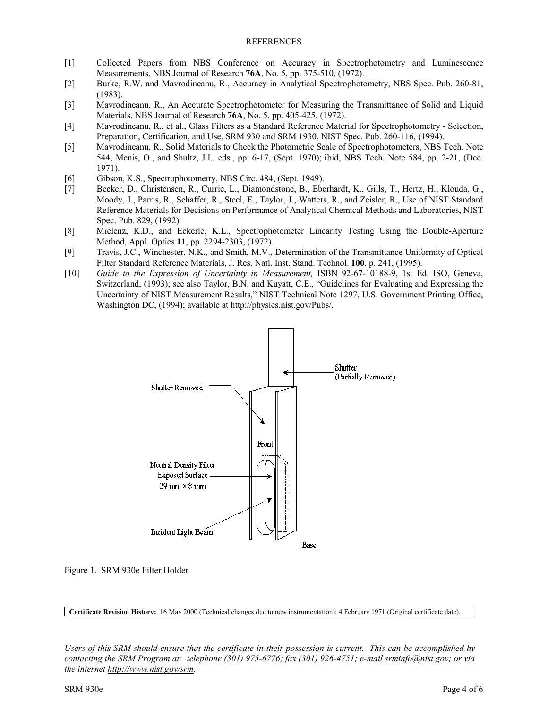#### REFERENCES

- [1] Collected Papers from NBS Conference on Accuracy in Spectrophotometry and Luminescence Measurements, NBS Journal of Research **76A**, No. 5, pp. 375-510, (1972).
- [2] Burke, R.W. and Mavrodineanu, R., Accuracy in Analytical Spectrophotometry, NBS Spec. Pub. 260-81, (1983).
- [3] Mavrodineanu, R., An Accurate Spectrophotometer for Measuring the Transmittance of Solid and Liquid Materials, NBS Journal of Research **76A**, No. 5, pp. 405-425, (1972).
- [4] Mavrodineanu, R., et al., Glass Filters as a Standard Reference Material for Spectrophotometry Selection, Preparation, Certification, and Use, SRM 930 and SRM 1930, NIST Spec. Pub. 260-116, (1994).
- [5] Mavrodineanu, R., Solid Materials to Check the Photometric Scale of Spectrophotometers, NBS Tech. Note 544, Menis, O., and Shultz, J.I., eds., pp. 6-17, (Sept. 1970); ibid, NBS Tech. Note 584, pp. 2-21, (Dec. 1971).
- [6] Gibson, K.S., Spectrophotometry, NBS Circ. 484, (Sept. 1949).
- [7] Becker, D., Christensen, R., Currie, L., Diamondstone, B., Eberhardt, K., Gills, T., Hertz, H., Klouda, G., Moody, J., Parris, R., Schaffer, R., Steel, E., Taylor, J., Watters, R., and Zeisler, R., Use of NIST Standard Reference Materials for Decisions on Performance of Analytical Chemical Methods and Laboratories, NIST Spec. Pub. 829, (1992).
- [8] Mielenz, K.D., and Eckerle, K.L., Spectrophotometer Linearity Testing Using the Double-Aperture Method, Appl. Optics **11**, pp. 2294-2303, (1972).
- [9] Travis, J.C., Winchester, N.K., and Smith, M.V., Determination of the Transmittance Uniformity of Optical Filter Standard Reference Materials, J. Res. Natl. Inst. Stand. Technol. **100**, p. 241, (1995).
- [10] *Guide to the Expression of Uncertainty in Measurement,* ISBN 92-67-10188-9, 1st Ed. ISO, Geneva, Switzerland, (1993); see also Taylor, B.N. and Kuyatt, C.E., "Guidelines for Evaluating and Expressing the Uncertainty of NIST Measurement Results," NIST Technical Note 1297, U.S. Government Printing Office, Washington DC, (1994); available at http://physics.nist.gov/Pubs/.



Figure 1. SRM 930e Filter Holder

**Certificate Revision History:** 16 May 2000 (Technical changes due to new instrumentation); 4 February 1971 (Original certificate date).

*Users of this SRM should ensure that the certificate in their possession is current. This can be accomplished by contacting the SRM Program at: telephone (301) 975-6776; fax (301) 926-4751; e-mail srminfo@nist.gov; or via the internet http://www.nist.gov/srm.*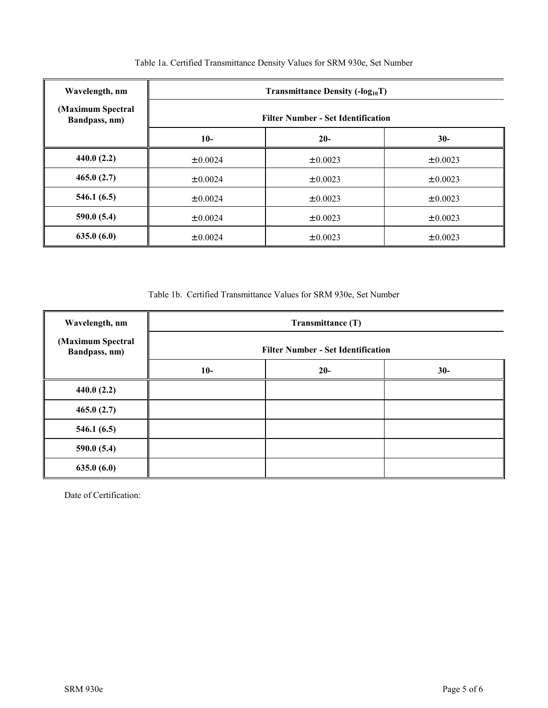| Wavelength, nm                     |                                           | <b>Transmittance Density (-log</b> <sub>10</sub> T) |              |
|------------------------------------|-------------------------------------------|-----------------------------------------------------|--------------|
| (Maximum Spectral<br>Bandpass, nm) | <b>Filter Number - Set Identification</b> |                                                     |              |
|                                    | $10-$                                     | $20-$                                               | $30-$        |
| 440.0(2.2)                         | $\pm 0.0024$                              | $\pm 0.0023$                                        | $\pm 0.0023$ |
| 465.0(2.7)                         | $\pm 0.0024$                              | $\pm 0.0023$                                        | $\pm 0.0023$ |
| 546.1(6.5)                         | $\pm 0.0024$                              | $\pm 0.0023$                                        | $\pm 0.0023$ |
| 590.0(5.4)                         | $\pm 0.0024$                              | $\pm 0.0023$                                        | $\pm 0.0023$ |
| 635.0(6.0)                         | $\pm 0.0024$                              | ± 0.0023                                            | $\pm 0.0023$ |

#### Table 1a. Certified Transmittance Density Values for SRM 930e, Set Number

Table 1b. Certified Transmittance Values for SRM 930e, Set Number

| Wavelength, nm                     | Transmittance (T)<br><b>Filter Number - Set Identification</b> |       |       |
|------------------------------------|----------------------------------------------------------------|-------|-------|
| (Maximum Spectral<br>Bandpass, nm) |                                                                |       |       |
|                                    | $10-$                                                          | $20-$ | $30-$ |
| 440.0(2.2)                         |                                                                |       |       |
| 465.0(2.7)                         |                                                                |       |       |
| 546.1(6.5)                         |                                                                |       |       |
| 590.0(5.4)                         |                                                                |       |       |
| 635.0(6.0)                         |                                                                |       |       |

Date of Certification: